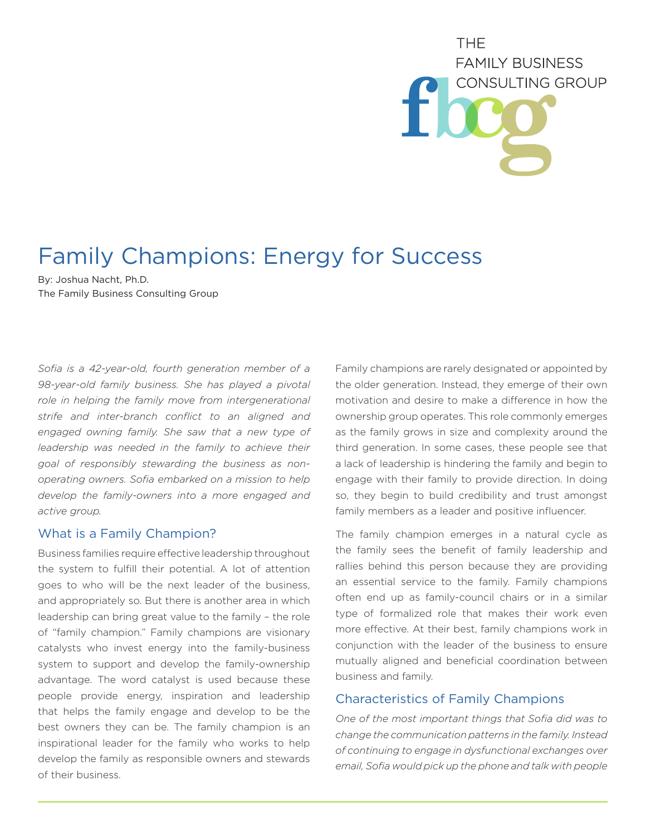# THE. **FAMILY BUSINESS** CONSULTING GROUP

# Family Champions: Energy for Success

By: Joshua Nacht, Ph.D. The Family Business Consulting Group

*Sofia is a 42-year-old, fourth generation member of a 98-year-old family business. She has played a pivotal role in helping the family move from intergenerational strife and inter-branch conflict to an aligned and engaged owning family. She saw that a new type of leadership was needed in the family to achieve their goal of responsibly stewarding the business as nonoperating owners. Sofia embarked on a mission to help develop the family-owners into a more engaged and active group.*

## What is a Family Champion?

Business families require effective leadership throughout the system to fulfill their potential. A lot of attention goes to who will be the next leader of the business, and appropriately so. But there is another area in which leadership can bring great value to the family – the role of "family champion." Family champions are visionary catalysts who invest energy into the family-business system to support and develop the family-ownership advantage. The word catalyst is used because these people provide energy, inspiration and leadership that helps the family engage and develop to be the best owners they can be. The family champion is an inspirational leader for the family who works to help develop the family as responsible owners and stewards of their business.

Family champions are rarely designated or appointed by the older generation. Instead, they emerge of their own motivation and desire to make a difference in how the ownership group operates. This role commonly emerges as the family grows in size and complexity around the third generation. In some cases, these people see that a lack of leadership is hindering the family and begin to engage with their family to provide direction. In doing so, they begin to build credibility and trust amongst family members as a leader and positive influencer.

The family champion emerges in a natural cycle as the family sees the benefit of family leadership and rallies behind this person because they are providing an essential service to the family. Family champions often end up as family-council chairs or in a similar type of formalized role that makes their work even more effective. At their best, family champions work in conjunction with the leader of the business to ensure mutually aligned and beneficial coordination between business and family.

#### Characteristics of Family Champions

*One of the most important things that Sofia did was to change the communication patterns in the family. Instead of continuing to engage in dysfunctional exchanges over email, Sofia would pick up the phone and talk with people*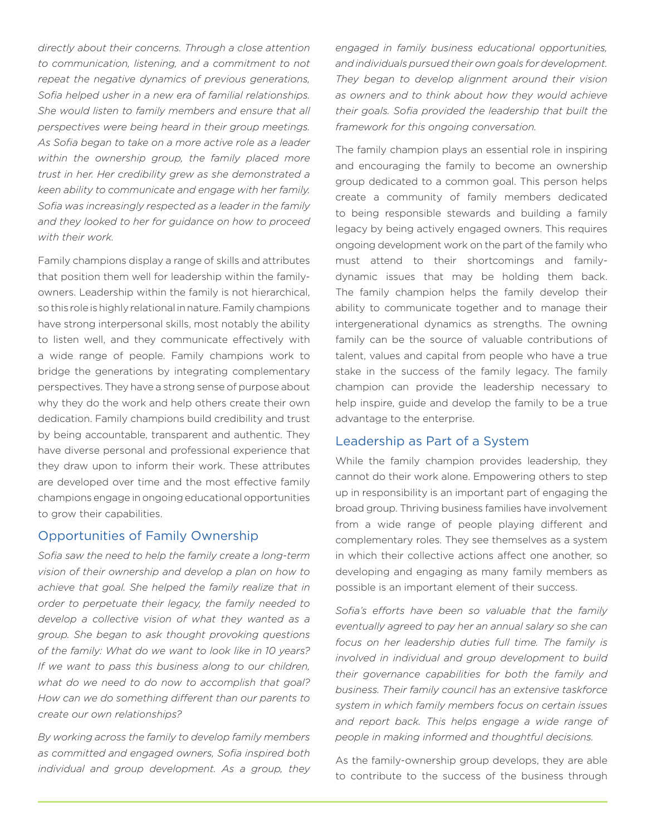*directly about their concerns. Through a close attention to communication, listening, and a commitment to not repeat the negative dynamics of previous generations, Sofia helped usher in a new era of familial relationships. She would listen to family members and ensure that all perspectives were being heard in their group meetings. As Sofia began to take on a more active role as a leader within the ownership group, the family placed more trust in her. Her credibility grew as she demonstrated a keen ability to communicate and engage with her family. Sofia was increasingly respected as a leader in the family and they looked to her for guidance on how to proceed with their work.* 

Family champions display a range of skills and attributes that position them well for leadership within the familyowners. Leadership within the family is not hierarchical, so this role is highly relational in nature. Family champions have strong interpersonal skills, most notably the ability to listen well, and they communicate effectively with a wide range of people. Family champions work to bridge the generations by integrating complementary perspectives. They have a strong sense of purpose about why they do the work and help others create their own dedication. Family champions build credibility and trust by being accountable, transparent and authentic. They have diverse personal and professional experience that they draw upon to inform their work. These attributes are developed over time and the most effective family champions engage in ongoing educational opportunities to grow their capabilities.

#### Opportunities of Family Ownership

*Sofia saw the need to help the family create a long-term vision of their ownership and develop a plan on how to achieve that goal. She helped the family realize that in order to perpetuate their legacy, the family needed to develop a collective vision of what they wanted as a group. She began to ask thought provoking questions of the family: What do we want to look like in 10 years? If we want to pass this business along to our children, what do we need to do now to accomplish that goal? How can we do something different than our parents to create our own relationships?* 

*By working across the family to develop family members as committed and engaged owners, Sofia inspired both individual and group development. As a group, they*  *engaged in family business educational opportunities, and individuals pursued their own goals for development. They began to develop alignment around their vision as owners and to think about how they would achieve their goals. Sofia provided the leadership that built the framework for this ongoing conversation.* 

The family champion plays an essential role in inspiring and encouraging the family to become an ownership group dedicated to a common goal. This person helps create a community of family members dedicated to being responsible stewards and building a family legacy by being actively engaged owners. This requires ongoing development work on the part of the family who must attend to their shortcomings and familydynamic issues that may be holding them back. The family champion helps the family develop their ability to communicate together and to manage their intergenerational dynamics as strengths. The owning family can be the source of valuable contributions of talent, values and capital from people who have a true stake in the success of the family legacy. The family champion can provide the leadership necessary to help inspire, guide and develop the family to be a true advantage to the enterprise.

#### Leadership as Part of a System

While the family champion provides leadership, they cannot do their work alone. Empowering others to step up in responsibility is an important part of engaging the broad group. Thriving business families have involvement from a wide range of people playing different and complementary roles. They see themselves as a system in which their collective actions affect one another, so developing and engaging as many family members as possible is an important element of their success.

*Sofia's efforts have been so valuable that the family eventually agreed to pay her an annual salary so she can focus on her leadership duties full time. The family is involved in individual and group development to build their governance capabilities for both the family and business. Their family council has an extensive taskforce system in which family members focus on certain issues and report back. This helps engage a wide range of people in making informed and thoughtful decisions.* 

As the family-ownership group develops, they are able to contribute to the success of the business through